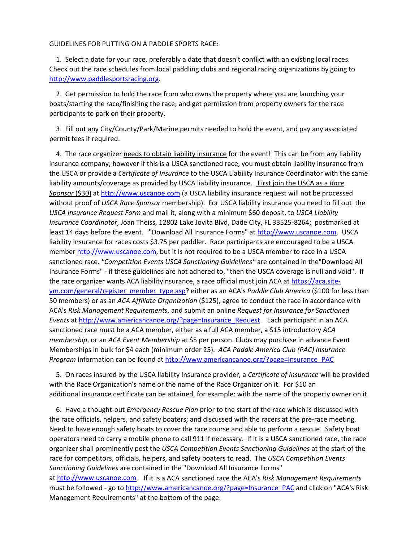## GUIDELINES FOR PUTTING ON A PADDLE SPORTS RACE:

 1. Select a date for your race, preferably a date that doesn't conflict with an existing local races. Check out the race schedules from local paddling clubs and regional racing organizations by going to [http://www.paddlesportsracing.org.](http://www.paddlesportsracing.org/)

 2. Get permission to hold the race from who owns the property where you are launching your boats/starting the race/finishing the race; and get permission from property owners for the race participants to park on their property.

 3. Fill out any City/County/Park/Marine permits needed to hold the event, and pay any associated permit fees if required.

 4. The race organizer needs to obtain liability insurance for the event! This can be from any liability insurance company; however if this is a USCA sanctioned race, you must obtain liability insurance from the USCA or provide a *Certificate of Insurance* to the USCA Liability Insurance Coordinator with the same liability amounts/coverage as provided by USCA liability insurance. First join the USCA as a *Race Sponsor* (\$30) a[t http://www.uscanoe.com](http://www.uscanoe.com/) (a USCA liability insurance request will not be processed without proof of *USCA Race Sponsor* membership). For USCA liability insurance you need to fill out the *USCA Insurance Request Form* and mail it, along with a minimum \$60 deposit, to *USCA Liability Insurance Coordinator*, Joan Theiss, 12802 Lake Jovita Blvd, Dade City, FL 33525-8264; postmarked at least 14 days before the event. "Download All Insurance Forms" at [http://www.uscanoe.com.](http://www.uscanoe.com/) USCA liability insurance for races costs \$3.75 per paddler. Race participants are encouraged to be a USCA membe[r http://www.uscanoe.com,](http://www.uscanoe.com/) but it is not required to be a USCA member to race in a USCA sanctioned race. *"Competition Events USCA Sanctioning Guidelines"* are contained in the"Download All Insurance Forms" - if these guidelines are not adhered to, "then the USCA coverage is null and void". If the race organizer wants ACA liabilityinsurance, a race official must join ACA at [https://aca.site](https://aca.site-ym.com/general/register_member_type.asp)[ym.com/general/register\\_member\\_type.asp?](https://aca.site-ym.com/general/register_member_type.asp) either as an ACA's *Paddle Club America* (\$100 for less than 50 members) or as an *ACA Affiliate Organization* (\$125), agree to conduct the race in accordance with ACA's *Risk Management Requirements*, and submit an online *Request for Insurance for Sanctioned Events* at [http://www.americancanoe.org/?page=Insurance\\_Request.](http://www.americancanoe.org/?page=Insurance_Request) Each participant in an ACA sanctioned race must be a ACA member, either as a full ACA member, a \$15 introductory *ACA membership*, or an *ACA Event Membership* at \$5 per person. Clubs may purchase in advance Event Memberships in bulk for \$4 each (minimum order 25). *ACA Paddle America Club (PAC) Insurance Program* information can be found at [http://www.americancanoe.org/?page=Insurance\\_PAC](http://www.americancanoe.org/?page=Insurance_PAC)

 5. On races insured by the USCA liability Insurance provider, a *Certificate of Insurance* will be provided with the Race Organization's name or the name of the Race Organizer on it. For \$10 an additional insurance certificate can be attained, for example: with the name of the property owner on it.

 6. Have a thought-out *Emergency Rescue Plan* prior to the start of the race which is discussed with the race officials, helpers, and safety boaters; and discussed with the racers at the pre-race meeting. Need to have enough safety boats to cover the race course and able to perform a rescue. Safety boat operators need to carry a mobile phone to call 911 if necessary. If it is a USCA sanctioned race, the race organizer shall prominently post the *USCA Competition Events Sanctioning Guidelines* at the start of the race for competitors, officials, helpers, and safety boaters to read. The *USCA Competition Events Sanctioning Guidelines* are contained in the "Download All Insurance Forms" at [http://www.uscanoe.com.](http://www.uscanoe.com/) If it is a ACA sanctioned race the ACA's *Risk Management Requirements* must be followed - go t[o http://www.americancanoe.org/?page=Insurance\\_PAC](http://www.americancanoe.org/?page=Insurance_PAC) and click on "ACA's Risk Management Requirements" at the bottom of the page.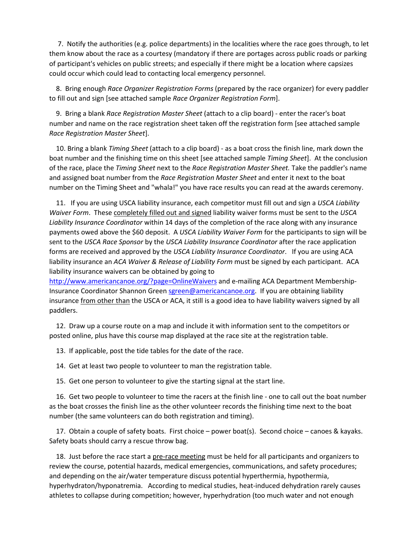7. Notify the authorities (e.g. police departments) in the localities where the race goes through, to let them know about the race as a courtesy (mandatory if there are portages across public roads or parking of participant's vehicles on public streets; and especially if there might be a location where capsizes could occur which could lead to contacting local emergency personnel.

 8. Bring enough *Race Organizer Registration Forms* (prepared by the race organizer) for every paddler to fill out and sign [see attached sample *Race Organizer Registration Form*].

 9. Bring a blank *Race Registration Master Sheet* (attach to a clip board) - enter the racer's boat number and name on the race registration sheet taken off the registration form [see attached sample *Race Registration Master Sheet*].

 10. Bring a blank *Timing Sheet* (attach to a clip board) - as a boat cross the finish line, mark down the boat number and the finishing time on this sheet [see attached sample *Timing Sheet*]. At the conclusion of the race, place the *Timing Sheet* next to the *Race Registration Master Sheet.* Take the paddler's name and assigned boat number from the *Race Registration Master Sheet* and enter it next to the boat number on the Timing Sheet and "whala!" you have race results you can read at the awards ceremony.

 11. If you are using USCA liability insurance, each competitor must fill out and sign a *USCA Liability Waiver Form*. These completely filled out and signed liability waiver forms must be sent to the *USCA Liability Insurance Coordinator* within 14 days of the completion of the race along with any insurance payments owed above the \$60 deposit. A *USCA Liability Waiver Form* for the participants to sign will be sent to the *USCA Race Sponsor* by the *USCA Liability Insurance Coordinator* after the race application forms are received and approved by the *USCA Liability Insurance Coordinator*. If you are using ACA liability insurance an *ACA Waiver & Release of Liability Form* must be signed by each participant. ACA liability insurance waivers can be obtained by going to

<http://www.americancanoe.org/?page=OnlineWaivers> and e-mailing ACA Department MembershipInsurance Coordinator Shannon Green [sgreen@americancanoe.org.](mailto:sgreen@americancanoe.org) If you are obtaining liability insurance from other than the USCA or ACA, it still is a good idea to have liability waivers signed by all paddlers.

 12. Draw up a course route on a map and include it with information sent to the competitors or posted online, plus have this course map displayed at the race site at the registration table.

13. If applicable, post the tide tables for the date of the race.

14. Get at least two people to volunteer to man the registration table.

15. Get one person to volunteer to give the starting signal at the start line.

 16. Get two people to volunteer to time the racers at the finish line - one to call out the boat number as the boat crosses the finish line as the other volunteer records the finishing time next to the boat number (the same volunteers can do both registration and timing).

 17. Obtain a couple of safety boats. First choice – power boat(s). Second choice – canoes & kayaks. Safety boats should carry a rescue throw bag.

18. Just before the race start a pre-race meeting must be held for all participants and organizers to review the course, potential hazards, medical emergencies, communications, and safety procedures; and depending on the air/water temperature discuss potential hyperthermia, hypothermia, hyperhydraton/hyponatremia. According to medical studies, heat-induced dehydration rarely causes athletes to collapse during competition; however, hyperhydration (too much water and not enough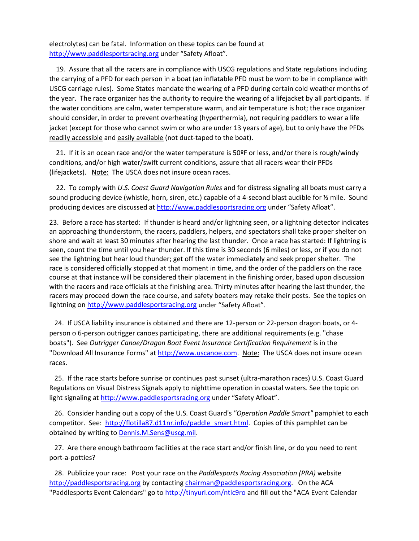electrolytes) can be fatal. Information on these topics can be found at [http://www.paddlesportsracing.org](http://www.paddlesportsracing.org/) under "Safety Afloat".

 19. Assure that all the racers are in compliance with USCG regulations and State regulations including the carrying of a PFD for each person in a boat (an inflatable PFD must be worn to be in compliance with USCG carriage rules). Some States mandate the wearing of a PFD during certain cold weather months of the year. The race organizer has the authority to require the wearing of a lifejacket by all participants. If the water conditions are calm, water temperature warm, and air temperature is hot; the race organizer should consider, in order to prevent overheating (hyperthermia), not requiring paddlers to wear a life jacket (except for those who cannot swim or who are under 13 years of age), but to only have the PFDs readily accessible and easily available (not duct-taped to the boat).

 21. If it is an ocean race and/or the water temperature is 50ºF or less, and/or there is rough/windy conditions, and/or high water/swift current conditions, assure that all racers wear their PFDs (lifejackets). Note: The USCA does not insure ocean races.

 22. To comply with *U.S. Coast Guard Navigation Rules* and for distress signaling all boats must carry a sound producing device (whistle, horn, siren, etc.) capable of a 4-second blast audible for ½ mile. Sound producing devices are discussed at [http://www.paddlesportsracing.org](http://www.paddlesportsracing.org/) under "Safety Afloat".

23. Before a race has started: If thunder is heard and/or lightning seen, or a lightning detector indicates an approaching thunderstorm, the racers, paddlers, helpers, and spectators shall take proper shelter on shore and wait at least 30 minutes after hearing the last thunder. Once a race has started: If lightning is seen, count the time until you hear thunder. If this time is 30 seconds (6 miles) or less, or if you do not see the lightning but hear loud thunder; get off the water immediately and seek proper shelter. The race is considered officially stopped at that moment in time, and the order of the paddlers on the race course at that instance will be considered their placement in the finishing order, based upon discussion with the racers and race officials at the finishing area. Thirty minutes after hearing the last thunder, the racers may proceed down the race course, and safety boaters may retake their posts. See the topics on lightning o[n http://www.paddlesportsracing.org](http://www.paddlesportsracing.org/) under "Safety Afloat".

 24. If USCA liability insurance is obtained and there are 12-person or 22-person dragon boats, or 4 person o 6-person outrigger canoes participating, there are additional requirements (e.g. "chase boats"). See *Outrigger Canoe/Dragon Boat Event Insurance Certification Requirement* is in the "Download All Insurance Forms" at [http://www.uscanoe.com.](http://www.uscanoe.com/) Note: The USCA does not insure ocean races.

 25. If the race starts before sunrise or continues past sunset (ultra-marathon races) U.S. Coast Guard Regulations on Visual Distress Signals apply to nighttime operation in coastal waters. See the topic on light signaling at [http://www.paddlesportsracing.org](http://www.paddlesportsracing.org/) under "Safety Afloat".

 26. Consider handing out a copy of the U.S. Coast Guard's *"Operation Paddle Smart"* pamphlet to each competitor. See: [http://flotilla87.d11nr.info/paddle\\_smart.html.](http://flotilla87.d11nr.info/paddle_smart.html) Copies of this pamphlet can be obtained by writing t[o Dennis.M.Sens@uscg.mil.](mailto:Dennis.M.Sens@uscg.mil)

 27. Are there enough bathroom facilities at the race start and/or finish line, or do you need to rent port-a-potties?

 28. Publicize your race: Post your race on the *Paddlesports Racing Association (PRA)* website [http://paddlesportsracing.org](http://paddlesportsracing.org/) by contacting [chairman@paddlesportsracing.org.](mailto:chairman@paddlesportsracing.org) On the ACA "Paddlesports Event Calendars" go to<http://tinyurl.com/ntlc9ro> and fill out the "ACA Event Calendar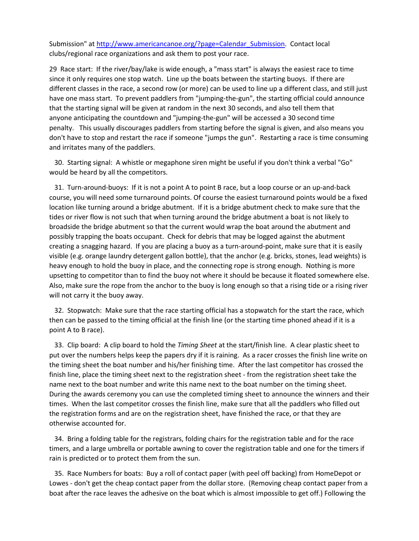Submission" at http://www.americancanoe.org/?page=Calendar\_Submission. Contact local clubs/regional race organizations and ask them to post your race.

29 Race start: If the river/bay/lake is wide enough, a "mass start" is always the easiest race to time since it only requires one stop watch. Line up the boats between the starting buoys. If there are different classes in the race, a second row (or more) can be used to line up a different class, and still just have one mass start. To prevent paddlers from "jumping-the-gun", the starting official could announce that the starting signal will be given at random in the next 30 seconds, and also tell them that anyone anticipating the countdown and "jumping-the-gun" will be accessed a 30 second time penalty. This usually discourages paddlers from starting before the signal is given, and also means you don't have to stop and restart the race if someone "jumps the gun". Restarting a race is time consuming and irritates many of the paddlers.

 30. Starting signal: A whistle or megaphone siren might be useful if you don't think a verbal "Go" would be heard by all the competitors.

 31. Turn-around-buoys: If it is not a point A to point B race, but a loop course or an up-and-back course, you will need some turnaround points. Of course the easiest turnaround points would be a fixed location like turning around a bridge abutment. If it is a bridge abutment check to make sure that the tides or river flow is not such that when turning around the bridge abutment a boat is not likely to broadside the bridge abutment so that the current would wrap the boat around the abutment and possibly trapping the boats occupant. Check for debris that may be logged against the abutment creating a snagging hazard. If you are placing a buoy as a turn-around-point, make sure that it is easily visible (e.g. orange laundry detergent gallon bottle), that the anchor (e.g. bricks, stones, lead weights) is heavy enough to hold the buoy in place, and the connecting rope is strong enough. Nothing is more upsetting to competitor than to find the buoy not where it should be because it floated somewhere else. Also, make sure the rope from the anchor to the buoy is long enough so that a rising tide or a rising river will not carry it the buoy away.

 32. Stopwatch: Make sure that the race starting official has a stopwatch for the start the race, which then can be passed to the timing official at the finish line (or the starting time phoned ahead if it is a point A to B race).

 33. Clip board: A clip board to hold the *Timing Sheet* at the start/finish line. A clear plastic sheet to put over the numbers helps keep the papers dry if it is raining. As a racer crosses the finish line write on the timing sheet the boat number and his/her finishing time. After the last competitor has crossed the finish line, place the timing sheet next to the registration sheet - from the registration sheet take the name next to the boat number and write this name next to the boat number on the timing sheet. During the awards ceremony you can use the completed timing sheet to announce the winners and their times. When the last competitor crosses the finish line, make sure that all the paddlers who filled out the registration forms and are on the registration sheet, have finished the race, or that they are otherwise accounted for.

 34. Bring a folding table for the registrars, folding chairs for the registration table and for the race timers, and a large umbrella or portable awning to cover the registration table and one for the timers if rain is predicted or to protect them from the sun.

 35. Race Numbers for boats: Buy a roll of contact paper (with peel off backing) from HomeDepot or Lowes - don't get the cheap contact paper from the dollar store. (Removing cheap contact paper from a boat after the race leaves the adhesive on the boat which is almost impossible to get off.) Following the